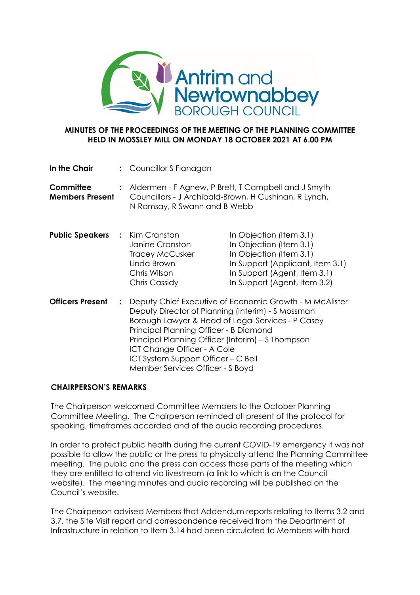

## **MINUTES OF THE PROCEEDINGS OF THE MEETING OF THE PLANNING COMMITTEE HELD IN MOSSLEY MILL ON MONDAY 18 OCTOBER 2021 AT 6.00 PM**

| In the Chair                               |                | : Councillor S Flanagan                                                                                                                                                                                                                                                                                                                                                    |                                                                                                                                                                                   |
|--------------------------------------------|----------------|----------------------------------------------------------------------------------------------------------------------------------------------------------------------------------------------------------------------------------------------------------------------------------------------------------------------------------------------------------------------------|-----------------------------------------------------------------------------------------------------------------------------------------------------------------------------------|
| <b>Committee</b><br><b>Members Present</b> |                | N Ramsay, R Swann and B Webb                                                                                                                                                                                                                                                                                                                                               | : Aldermen - F Agnew, P Brett, T Campbell and J Smyth<br>Councillors - J Archibald-Brown, H Cushinan, R Lynch,                                                                    |
| <b>Public Speakers : Kim Cranston</b>      |                | Janine Cranston<br><b>Tracey McCusker</b><br>Linda Brown<br>Chris Wilson<br>Chris Cassidy                                                                                                                                                                                                                                                                                  | In Objection (Item 3.1)<br>In Objection (Item 3.1)<br>In Objection (Item 3.1)<br>In Support (Applicant, Item 3.1)<br>In Support (Agent, Item 3.1)<br>In Support (Agent, Item 3.2) |
| <b>Officers Present</b>                    | $\ddot{\cdot}$ | Deputy Chief Executive of Economic Growth - M McAlister<br>Deputy Director of Planning (Interim) - S Mossman<br>Borough Lawyer & Head of Legal Services - P Casey<br>Principal Planning Officer - B Diamond<br>Principal Planning Officer (Interim) – S Thompson<br>ICT Change Officer - A Cole<br>ICT System Support Officer – C Bell<br>Member Services Officer - S Boyd |                                                                                                                                                                                   |

# **CHAIRPERSON'S REMARKS**

The Chairperson welcomed Committee Members to the October Planning Committee Meeting. The Chairperson reminded all present of the protocol for speaking, timeframes accorded and of the audio recording procedures.

In order to protect public health during the current COVID-19 emergency it was not possible to allow the public or the press to physically attend the Planning Committee meeting. The public and the press can access those parts of the meeting which they are entitled to attend via livestream (a link to which is on the Council website). The meeting minutes and audio recording will be published on the Council's website.

The Chairperson advised Members that Addendum reports relating to Items 3.2 and 3.7, the Site Visit report and correspondence received from the Department of Infrastructure in relation to Item 3.14 had been circulated to Members with hard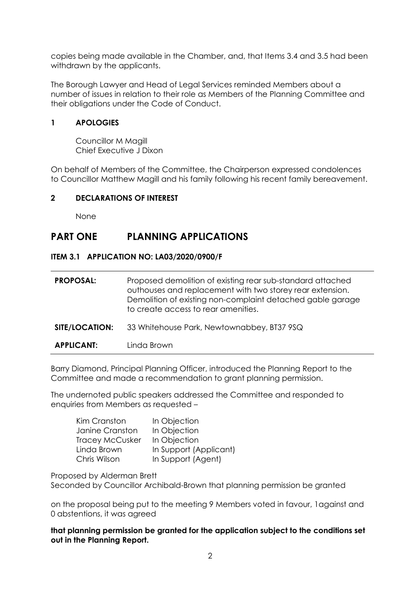copies being made available in the Chamber, and, that Items 3.4 and 3.5 had been withdrawn by the applicants.

The Borough Lawyer and Head of Legal Services reminded Members about a number of issues in relation to their role as Members of the Planning Committee and their obligations under the Code of Conduct.

# **1 APOLOGIES**

Councillor M Magill Chief Executive J Dixon

On behalf of Members of the Committee, the Chairperson expressed condolences to Councillor Matthew Magill and his family following his recent family bereavement.

# **2 DECLARATIONS OF INTEREST**

None

# **PART ONE PLANNING APPLICATIONS**

## **ITEM 3.1 APPLICATION NO: LA03/2020/0900/F**

| <b>PROPOSAL:</b>  | Proposed demolition of existing rear sub-standard attached<br>outhouses and replacement with two storey rear extension.<br>Demolition of existing non-complaint detached gable garage<br>to create access to rear amenities. |
|-------------------|------------------------------------------------------------------------------------------------------------------------------------------------------------------------------------------------------------------------------|
| SITE/LOCATION:    | 33 Whitehouse Park, Newtownabbey, BT37 9SQ                                                                                                                                                                                   |
| <b>APPLICANT:</b> | Linda Brown                                                                                                                                                                                                                  |

Barry Diamond, Principal Planning Officer, introduced the Planning Report to the Committee and made a recommendation to grant planning permission.

The undernoted public speakers addressed the Committee and responded to enquiries from Members as requested –

| Kim Cranston           | In Objection           |
|------------------------|------------------------|
| Janine Cranston        | In Objection           |
| <b>Tracey McCusker</b> | In Objection           |
| Linda Brown            | In Support (Applicant) |
| Chris Wilson           | In Support (Agent)     |

Proposed by Alderman Brett

Seconded by Councillor Archibald-Brown that planning permission be granted

on the proposal being put to the meeting 9 Members voted in favour, 1against and 0 abstentions, it was agreed

**that planning permission be granted for the application subject to the conditions set out in the Planning Report.**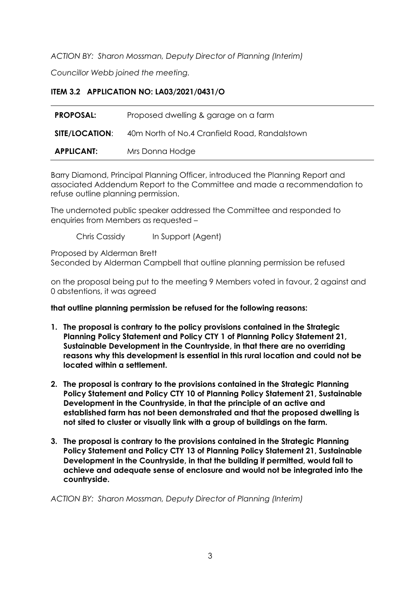*ACTION BY: Sharon Mossman, Deputy Director of Planning (Interim)*

*Councillor Webb joined the meeting.*

# **ITEM 3.2 APPLICATION NO: LA03/2021/0431/O**

| <b>PROPOSAL:</b>      | Proposed dwelling & garage on a farm          |
|-----------------------|-----------------------------------------------|
| <b>SITE/LOCATION:</b> | 40m North of No.4 Cranfield Road, Randalstown |
| <b>APPLICANT:</b>     | Mrs Donna Hodge                               |

Barry Diamond, Principal Planning Officer, introduced the Planning Report and associated Addendum Report to the Committee and made a recommendation to refuse outline planning permission.

The undernoted public speaker addressed the Committee and responded to enquiries from Members as requested –

Chris Cassidy In Support (Agent)

Proposed by Alderman Brett Seconded by Alderman Campbell that outline planning permission be refused

on the proposal being put to the meeting 9 Members voted in favour, 2 against and 0 abstentions, it was agreed

#### **that outline planning permission be refused for the following reasons:**

- **1. The proposal is contrary to the policy provisions contained in the Strategic Planning Policy Statement and Policy CTY 1 of Planning Policy Statement 21, Sustainable Development in the Countryside, in that there are no overriding reasons why this development is essential in this rural location and could not be located within a settlement.**
- **2. The proposal is contrary to the provisions contained in the Strategic Planning Policy Statement and Policy CTY 10 of Planning Policy Statement 21, Sustainable Development in the Countryside, in that the principle of an active and established farm has not been demonstrated and that the proposed dwelling is not sited to cluster or visually link with a group of buildings on the farm.**
- **3. The proposal is contrary to the provisions contained in the Strategic Planning Policy Statement and Policy CTY 13 of Planning Policy Statement 21, Sustainable Development in the Countryside, in that the building if permitted, would fail to achieve and adequate sense of enclosure and would not be integrated into the countryside.**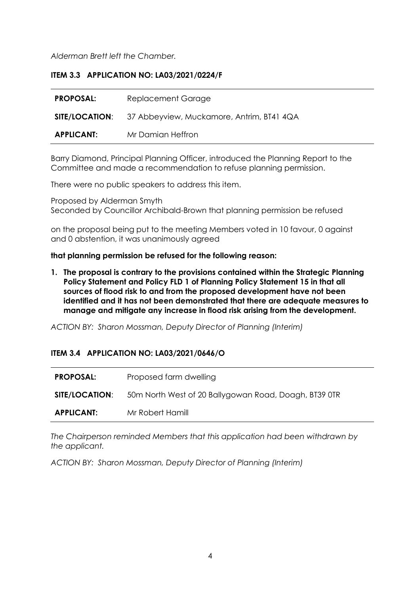*Alderman Brett left the Chamber.*

# **ITEM 3.3 APPLICATION NO: LA03/2021/0224/F**

| <b>PROPOSAL:</b>  | Replacement Garage                                              |
|-------------------|-----------------------------------------------------------------|
|                   | <b>SITE/LOCATION:</b> 37 Abbeyview, Muckamore, Antrim, BT41 4QA |
| <b>APPLICANT:</b> | Mr Damian Heffron                                               |

Barry Diamond, Principal Planning Officer, introduced the Planning Report to the Committee and made a recommendation to refuse planning permission.

There were no public speakers to address this item.

Proposed by Alderman Smyth Seconded by Councillor Archibald-Brown that planning permission be refused

on the proposal being put to the meeting Members voted in 10 favour, 0 against and 0 abstention, it was unanimously agreed

#### **that planning permission be refused for the following reason:**

**1. The proposal is contrary to the provisions contained within the Strategic Planning Policy Statement and Policy FLD 1 of Planning Policy Statement 15 in that all sources of flood risk to and from the proposed development have not been identified and it has not been demonstrated that there are adequate measures to manage and mitigate any increase in flood risk arising from the development.**

*ACTION BY: Sharon Mossman, Deputy Director of Planning (Interim)*

#### **ITEM 3.4 APPLICATION NO: LA03/2021/0646/O**

| <b>PROPOSAL:</b>      | Proposed farm dwelling                                |
|-----------------------|-------------------------------------------------------|
| <b>SITE/LOCATION:</b> | 50m North West of 20 Ballygowan Road, Doagh, BT39 OTR |
| <b>APPLICANT:</b>     | Mr Robert Hamill                                      |

*The Chairperson reminded Members that this application had been withdrawn by the applicant.*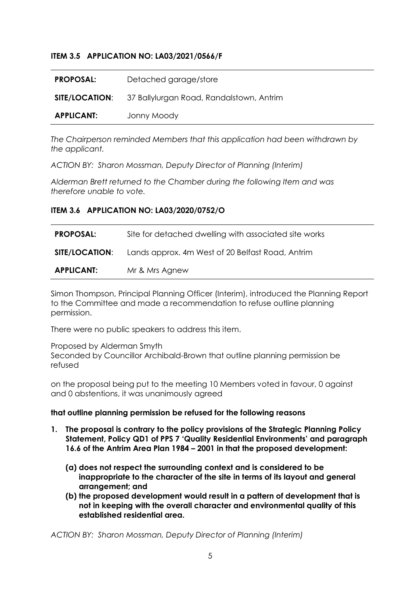## **ITEM 3.5 APPLICATION NO: LA03/2021/0566/F**

| <b>PROPOSAL:</b>  | Detached garage/store                                          |
|-------------------|----------------------------------------------------------------|
|                   | <b>SITE/LOCATION:</b> 37 Ballylurgan Road, Randalstown, Antrim |
| <b>APPLICANT:</b> | Jonny Moody                                                    |

*The Chairperson reminded Members that this application had been withdrawn by the applicant.*

*ACTION BY: Sharon Mossman, Deputy Director of Planning (Interim)*

*Alderman Brett returned to the Chamber during the following Item and was therefore unable to vote.*

#### **ITEM 3.6 APPLICATION NO: LA03/2020/0752/O**

| <b>PROPOSAL:</b>      | Site for detached dwelling with associated site works |
|-----------------------|-------------------------------------------------------|
| <b>SITE/LOCATION:</b> | Lands approx. 4m West of 20 Belfast Road, Antrim      |
| <b>APPLICANT:</b>     | Mr & Mrs Agnew                                        |

Simon Thompson, Principal Planning Officer (Interim), introduced the Planning Report to the Committee and made a recommendation to refuse outline planning permission.

There were no public speakers to address this item.

Proposed by Alderman Smyth Seconded by Councillor Archibald-Brown that outline planning permission be refused

on the proposal being put to the meeting 10 Members voted in favour, 0 against and 0 abstentions, it was unanimously agreed

#### **that outline planning permission be refused for the following reasons**

- **1. The proposal is contrary to the policy provisions of the Strategic Planning Policy Statement, Policy QD1 of PPS 7 'Quality Residential Environments' and paragraph 16.6 of the Antrim Area Plan 1984 – 2001 in that the proposed development:**
	- **(a) does not respect the surrounding context and is considered to be inappropriate to the character of the site in terms of its layout and general arrangement; and**
	- **(b) the proposed development would result in a pattern of development that is not in keeping with the overall character and environmental quality of this established residential area.**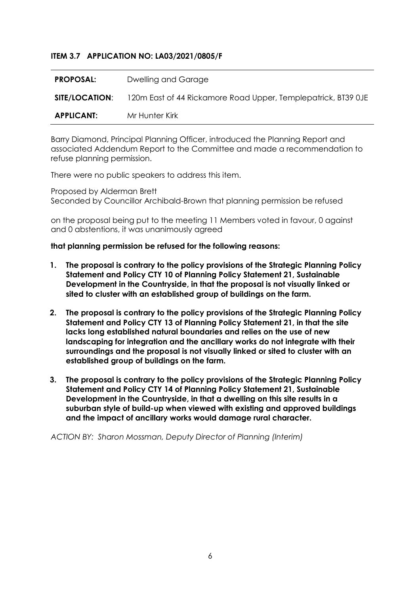## **ITEM 3.7 APPLICATION NO: LA03/2021/0805/F**

| <b>PROPOSAL:</b>  | Dwelling and Garage                                           |
|-------------------|---------------------------------------------------------------|
| SITE/LOCATION:    | 120m East of 44 Rickamore Road Upper, Templepatrick, BT39 OJE |
| <b>APPLICANT:</b> | Mr Hunter Kirk                                                |

Barry Diamond, Principal Planning Officer, introduced the Planning Report and associated Addendum Report to the Committee and made a recommendation to refuse planning permission.

There were no public speakers to address this item.

Proposed by Alderman Brett Seconded by Councillor Archibald-Brown that planning permission be refused

on the proposal being put to the meeting 11 Members voted in favour, 0 against and 0 abstentions, it was unanimously agreed

#### **that planning permission be refused for the following reasons:**

- **1. The proposal is contrary to the policy provisions of the Strategic Planning Policy Statement and Policy CTY 10 of Planning Policy Statement 21, Sustainable Development in the Countryside, in that the proposal is not visually linked or sited to cluster with an established group of buildings on the farm.**
- **2. The proposal is contrary to the policy provisions of the Strategic Planning Policy Statement and Policy CTY 13 of Planning Policy Statement 21, in that the site lacks long established natural boundaries and relies on the use of new landscaping for integration and the ancillary works do not integrate with their surroundings and the proposal is not visually linked or sited to cluster with an established group of buildings on the farm.**
- **3. The proposal is contrary to the policy provisions of the Strategic Planning Policy Statement and Policy CTY 14 of Planning Policy Statement 21, Sustainable Development in the Countryside, in that a dwelling on this site results in a suburban style of build-up when viewed with existing and approved buildings and the impact of ancillary works would damage rural character.**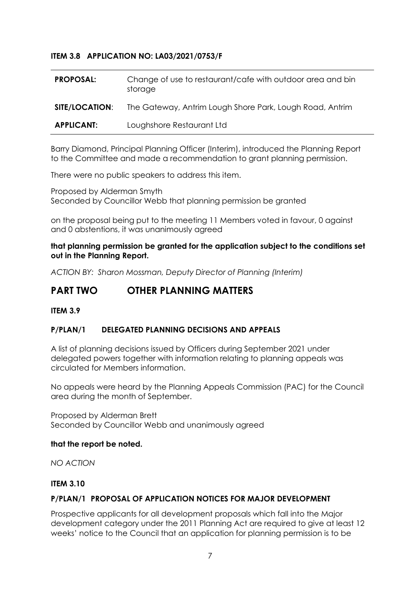# **ITEM 3.8 APPLICATION NO: LA03/2021/0753/F**

| <b>PROPOSAL:</b>      | Change of use to restaurant/cafe with outdoor area and bin<br>storage |
|-----------------------|-----------------------------------------------------------------------|
| <b>SITE/LOCATION:</b> | The Gateway, Antrim Lough Shore Park, Lough Road, Antrim              |
| <b>APPLICANT:</b>     | Loughshore Restaurant Ltd                                             |

Barry Diamond, Principal Planning Officer (Interim), introduced the Planning Report to the Committee and made a recommendation to grant planning permission.

There were no public speakers to address this item.

Proposed by Alderman Smyth Seconded by Councillor Webb that planning permission be granted

on the proposal being put to the meeting 11 Members voted in favour, 0 against and 0 abstentions, it was unanimously agreed

**that planning permission be granted for the application subject to the conditions set out in the Planning Report.**

*ACTION BY: Sharon Mossman, Deputy Director of Planning (Interim)*

# **PART TWO OTHER PLANNING MATTERS**

#### **ITEM 3.9**

#### **P/PLAN/1 DELEGATED PLANNING DECISIONS AND APPEALS**

A list of planning decisions issued by Officers during September 2021 under delegated powers together with information relating to planning appeals was circulated for Members information.

No appeals were heard by the Planning Appeals Commission (PAC) for the Council area during the month of September.

Proposed by Alderman Brett Seconded by Councillor Webb and unanimously agreed

#### **that the report be noted.**

*NO ACTION*

#### **ITEM 3.10**

#### **P/PLAN/1 PROPOSAL OF APPLICATION NOTICES FOR MAJOR DEVELOPMENT**

Prospective applicants for all development proposals which fall into the Major development category under the 2011 Planning Act are required to give at least 12 weeks' notice to the Council that an application for planning permission is to be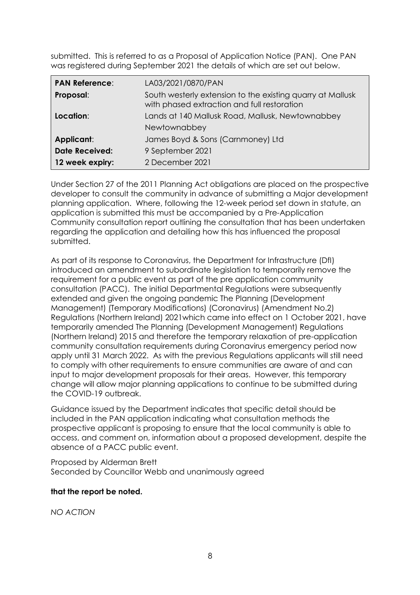submitted. This is referred to as a Proposal of Application Notice (PAN). One PAN was registered during September 2021 the details of which are set out below.

| <b>PAN Reference:</b> | LA03/2021/0870/PAN                                                                                        |
|-----------------------|-----------------------------------------------------------------------------------------------------------|
| Proposal:             | South westerly extension to the existing quarry at Mallusk<br>with phased extraction and full restoration |
| Location:             | Lands at 140 Mallusk Road, Mallusk, Newtownabbey                                                          |
|                       | Newtownabbey                                                                                              |
| Applicant:            | James Boyd & Sons (Carnmoney) Ltd                                                                         |
| <b>Date Received:</b> | 9 September 2021                                                                                          |
| 12 week expiry:       | 2 December 2021                                                                                           |

Under Section 27 of the 2011 Planning Act obligations are placed on the prospective developer to consult the community in advance of submitting a Major development planning application. Where, following the 12-week period set down in statute, an application is submitted this must be accompanied by a Pre-Application Community consultation report outlining the consultation that has been undertaken regarding the application and detailing how this has influenced the proposal submitted.

As part of its response to Coronavirus, the Department for Infrastructure (DfI) introduced an amendment to subordinate legislation to temporarily remove the requirement for a public event as part of the pre application community consultation (PACC). The initial Departmental Regulations were subsequently extended and given the ongoing pandemic The Planning (Development Management) (Temporary Modifications) (Coronavirus) (Amendment No.2) Regulations (Northern Ireland) 2021which came into effect on 1 October 2021, have temporarily amended The Planning (Development Management) Regulations (Northern Ireland) 2015 and therefore the temporary relaxation of pre-application community consultation requirements during Coronavirus emergency period now apply until 31 March 2022. As with the previous Regulations applicants will still need to comply with other requirements to ensure communities are aware of and can input to major development proposals for their areas. However, this temporary change will allow major planning applications to continue to be submitted during the COVID-19 outbreak.

Guidance issued by the Department indicates that specific detail should be included in the PAN application indicating what consultation methods the prospective applicant is proposing to ensure that the local community is able to access, and comment on, information about a proposed development, despite the absence of a PACC public event.

Proposed by Alderman Brett Seconded by Councillor Webb and unanimously agreed

# **that the report be noted.**

*NO ACTION*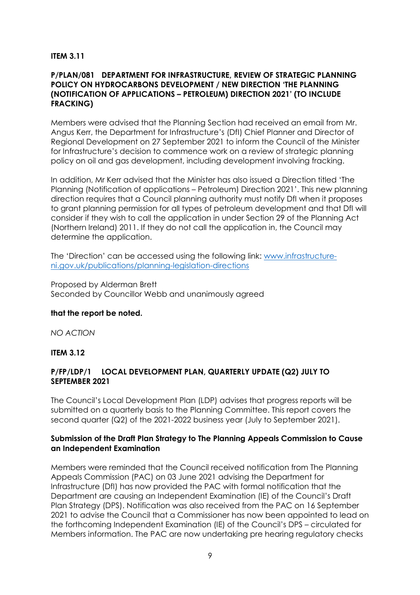## **ITEM 3.11**

## **P/PLAN/081 DEPARTMENT FOR INFRASTRUCTURE, REVIEW OF STRATEGIC PLANNING POLICY ON HYDROCARBONS DEVELOPMENT / NEW DIRECTION 'THE PLANNING (NOTIFICATION OF APPLICATIONS – PETROLEUM) DIRECTION 2021' (TO INCLUDE FRACKING)**

Members were advised that the Planning Section had received an email from Mr. Angus Kerr, the Department for Infrastructure's (DfI) Chief Planner and Director of Regional Development on 27 September 2021 to inform the Council of the Minister for Infrastructure's decision to commence work on a review of strategic planning policy on oil and gas development, including development involving fracking.

In addition, Mr Kerr advised that the Minister has also issued a Direction titled 'The Planning (Notification of applications – Petroleum) Direction 2021'. This new planning direction requires that a Council planning authority must notify DfI when it proposes to grant planning permission for all types of petroleum development and that DfI will consider if they wish to call the application in under Section 29 of the Planning Act (Northern Ireland) 2011. If they do not call the application in, the Council may determine the application.

The 'Direction' can be accessed using the following link: www.infrastructureni.gov.uk/publications/planning-legislation-directions

Proposed by Alderman Brett Seconded by Councillor Webb and unanimously agreed

#### **that the report be noted.**

*NO ACTION*

#### **ITEM 3.12**

## **P/FP/LDP/1 LOCAL DEVELOPMENT PLAN, QUARTERLY UPDATE (Q2) JULY TO SEPTEMBER 2021**

The Council's Local Development Plan (LDP) advises that progress reports will be submitted on a quarterly basis to the Planning Committee. This report covers the second quarter (Q2) of the 2021-2022 business year (July to September 2021).

#### **Submission of the Draft Plan Strategy to The Planning Appeals Commission to Cause an Independent Examination**

Members were reminded that the Council received notification from The Planning Appeals Commission (PAC) on 03 June 2021 advising the Department for Infrastructure (DfI) has now provided the PAC with formal notification that the Department are causing an Independent Examination (IE) of the Council's Draft Plan Strategy (DPS). Notification was also received from the PAC on 16 September 2021 to advise the Council that a Commissioner has now been appointed to lead on the forthcoming Independent Examination (IE) of the Council's DPS – circulated for Members information. The PAC are now undertaking pre hearing regulatory checks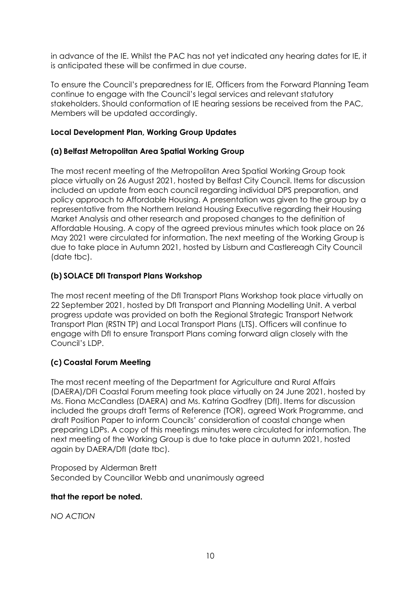in advance of the IE. Whilst the PAC has not yet indicated any hearing dates for IE, it is anticipated these will be confirmed in due course.

To ensure the Council's preparedness for IE, Officers from the Forward Planning Team continue to engage with the Council's legal services and relevant statutory stakeholders. Should conformation of IE hearing sessions be received from the PAC, Members will be updated accordingly.

# **Local Development Plan, Working Group Updates**

# **(a) Belfast Metropolitan Area Spatial Working Group**

The most recent meeting of the Metropolitan Area Spatial Working Group took place virtually on 26 August 2021, hosted by Belfast City Council. Items for discussion included an update from each council regarding individual DPS preparation, and policy approach to Affordable Housing. A presentation was given to the group by a representative from the Northern Ireland Housing Executive regarding their Housing Market Analysis and other research and proposed changes to the definition of Affordable Housing. A copy of the agreed previous minutes which took place on 26 May 2021 were circulated for information. The next meeting of the Working Group is due to take place in Autumn 2021, hosted by Lisburn and Castlereagh City Council (date tbc).

# **(b) SOLACE DfI Transport Plans Workshop**

The most recent meeting of the DfI Transport Plans Workshop took place virtually on 22 September 2021, hosted by DfI Transport and Planning Modelling Unit. A verbal progress update was provided on both the Regional Strategic Transport Network Transport Plan (RSTN TP) and Local Transport Plans (LTS). Officers will continue to engage with DfI to ensure Transport Plans coming forward align closely with the Council's LDP.

# **(c) Coastal Forum Meeting**

The most recent meeting of the Department for Agriculture and Rural Affairs (DAERA)/DFI Coastal Forum meeting took place virtually on 24 June 2021, hosted by Ms. Fiona McCandless (DAERA) and Ms. Katrina Godfrey (DfI). Items for discussion included the groups draft Terms of Reference (TOR), agreed Work Programme, and draft Position Paper to inform Councils' consideration of coastal change when preparing LDPs. A copy of this meetings minutes were circulated for information. The next meeting of the Working Group is due to take place in autumn 2021, hosted again by DAERA/DfI (date tbc).

Proposed by Alderman Brett Seconded by Councillor Webb and unanimously agreed

# **that the report be noted.**

*NO ACTION*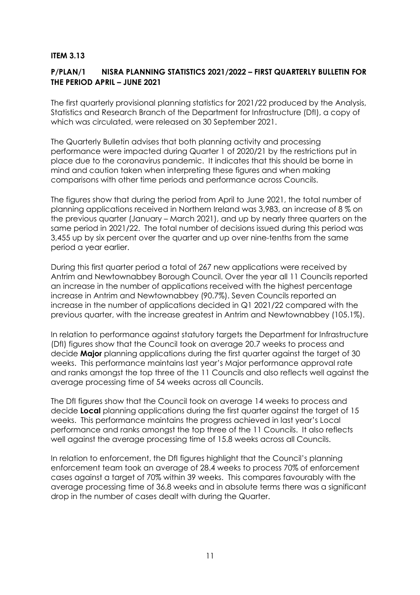## **ITEM 3.13**

# **P/PLAN/1 NISRA PLANNING STATISTICS 2021/2022 – FIRST QUARTERLY BULLETIN FOR THE PERIOD APRIL – JUNE 2021**

The first quarterly provisional planning statistics for 2021/22 produced by the Analysis, Statistics and Research Branch of the Department for Infrastructure (DfI), a copy of which was circulated, were released on 30 September 2021.

The Quarterly Bulletin advises that both planning activity and processing performance were impacted during Quarter 1 of 2020/21 by the restrictions put in place due to the coronavirus pandemic. It indicates that this should be borne in mind and caution taken when interpreting these figures and when making comparisons with other time periods and performance across Councils.

The figures show that during the period from April to June 2021, the total number of planning applications received in Northern Ireland was 3,983, an increase of 8 % on the previous quarter (January – March 2021), and up by nearly three quarters on the same period in 2021/22. The total number of decisions issued during this period was 3,455 up by six percent over the quarter and up over nine-tenths from the same period a year earlier.

During this first quarter period a total of 267 new applications were received by Antrim and Newtownabbey Borough Council. Over the year all 11 Councils reported an increase in the number of applications received with the highest percentage increase in Antrim and Newtownabbey (90.7%). Seven Councils reported an increase in the number of applications decided in Q1 2021/22 compared with the previous quarter, with the increase greatest in Antrim and Newtownabbey (105.1%).

In relation to performance against statutory targets the Department for Infrastructure (DfI) figures show that the Council took on average 20.7 weeks to process and decide **Major** planning applications during the first quarter against the target of 30 weeks. This performance maintains last year's Major performance approval rate and ranks amongst the top three of the 11 Councils and also reflects well against the average processing time of 54 weeks across all Councils.

The DfI figures show that the Council took on average 14 weeks to process and decide **Local** planning applications during the first quarter against the target of 15 weeks. This performance maintains the progress achieved in last year's Local performance and ranks amongst the top three of the 11 Councils. It also reflects well against the average processing time of 15.8 weeks across all Councils.

In relation to enforcement, the DfI figures highlight that the Council's planning enforcement team took an average of 28.4 weeks to process 70% of enforcement cases against a target of 70% within 39 weeks. This compares favourably with the average processing time of 36.8 weeks and in absolute terms there was a significant drop in the number of cases dealt with during the Quarter.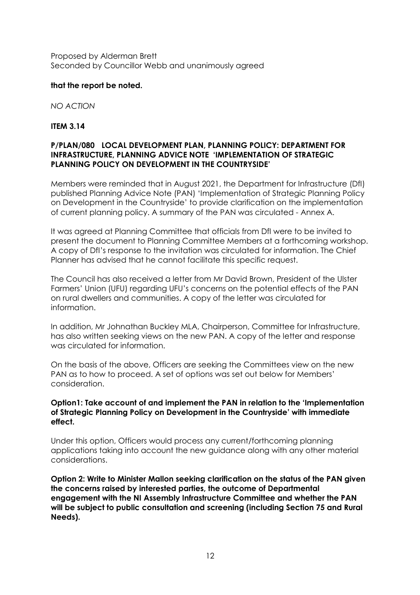Proposed by Alderman Brett Seconded by Councillor Webb and unanimously agreed

## **that the report be noted.**

*NO ACTION*

## **ITEM 3.14**

## **P/PLAN/080 LOCAL DEVELOPMENT PLAN, PLANNING POLICY: DEPARTMENT FOR INFRASTRUCTURE, PLANNING ADVICE NOTE 'IMPLEMENTATION OF STRATEGIC PLANNING POLICY ON DEVELOPMENT IN THE COUNTRYSIDE'**

Members were reminded that in August 2021, the Department for Infrastructure (DfI) published Planning Advice Note (PAN) 'Implementation of Strategic Planning Policy on Development in the Countryside' to provide clarification on the implementation of current planning policy. A summary of the PAN was circulated - Annex A.

It was agreed at Planning Committee that officials from DfI were to be invited to present the document to Planning Committee Members at a forthcoming workshop. A copy of DfI's response to the invitation was circulated for information. The Chief Planner has advised that he cannot facilitate this specific request.

The Council has also received a letter from Mr David Brown, President of the Ulster Farmers' Union (UFU) regarding UFU's concerns on the potential effects of the PAN on rural dwellers and communities. A copy of the letter was circulated for information.

In addition, Mr Johnathan Buckley MLA, Chairperson, Committee for Infrastructure, has also written seeking views on the new PAN. A copy of the letter and response was circulated for information.

On the basis of the above, Officers are seeking the Committees view on the new PAN as to how to proceed. A set of options was set out below for Members' consideration.

#### **Option1: Take account of and implement the PAN in relation to the 'Implementation of Strategic Planning Policy on Development in the Countryside' with immediate effect.**

Under this option, Officers would process any current/forthcoming planning applications taking into account the new guidance along with any other material considerations.

**Option 2: Write to Minister Mallon seeking clarification on the status of the PAN given the concerns raised by interested parties, the outcome of Departmental engagement with the NI Assembly Infrastructure Committee and whether the PAN will be subject to public consultation and screening (including Section 75 and Rural Needs).**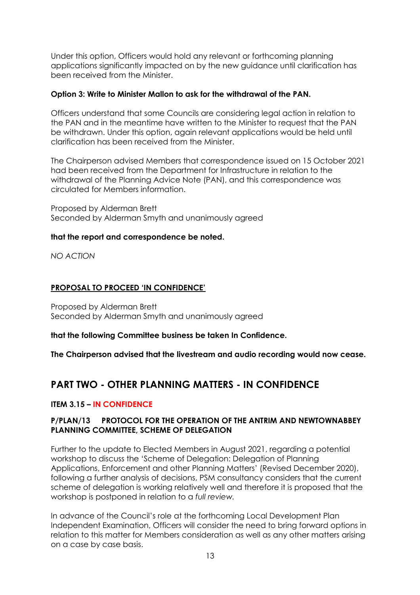Under this option, Officers would hold any relevant or forthcoming planning applications significantly impacted on by the new guidance until clarification has been received from the Minister.

### **Option 3: Write to Minister Mallon to ask for the withdrawal of the PAN.**

Officers understand that some Councils are considering legal action in relation to the PAN and in the meantime have written to the Minister to request that the PAN be withdrawn. Under this option, again relevant applications would be held until clarification has been received from the Minister.

The Chairperson advised Members that correspondence issued on 15 October 2021 had been received from the Department for Infrastructure in relation to the withdrawal of the Planning Advice Note (PAN), and this correspondence was circulated for Members information.

Proposed by Alderman Brett Seconded by Alderman Smyth and unanimously agreed

# **that the report and correspondence be noted.**

*NO ACTION*

# **PROPOSAL TO PROCEED 'IN CONFIDENCE'**

Proposed by Alderman Brett Seconded by Alderman Smyth and unanimously agreed

**that the following Committee business be taken In Confidence.**

**The Chairperson advised that the livestream and audio recording would now cease.**

# **PART TWO - OTHER PLANNING MATTERS - IN CONFIDENCE**

# **ITEM 3.15 – IN CONFIDENCE**

## **P/PLAN/13 PROTOCOL FOR THE OPERATION OF THE ANTRIM AND NEWTOWNABBEY FILE REF PLANNING COMMITTEE, SCHEME OF DELEGATION**

Further to the update to Elected Members in August 2021, regarding a potential workshop to discuss the 'Scheme of Delegation: Delegation of Planning Applications, Enforcement and other Planning Matters' (Revised December 2020), following a further analysis of decisions, PSM consultancy considers that the current scheme of delegation is working relatively well and therefore it is proposed that the workshop is postponed in relation to a *full review.*

In advance of the Council's role at the forthcoming Local Development Plan Independent Examination, Officers will consider the need to bring forward options in relation to this matter for Members consideration as well as any other matters arising on a case by case basis.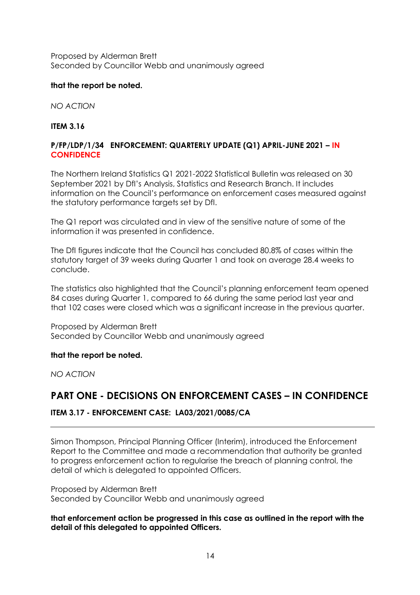Proposed by Alderman Brett Seconded by Councillor Webb and unanimously agreed

## **that the report be noted.**

*NO ACTION*

## **ITEM 3.16**

## **P/FP/LDP/1/34 ENFORCEMENT: QUARTERLY UPDATE (Q1) APRIL-JUNE 2021 – IN CONFIDENCE**

The Northern Ireland Statistics Q1 2021-2022 Statistical Bulletin was released on 30 September 2021 by DfI's Analysis, Statistics and Research Branch. It includes information on the Council's performance on enforcement cases measured against the statutory performance targets set by DfI.

The Q1 report was circulated and in view of the sensitive nature of some of the information it was presented in confidence.

The DfI figures indicate that the Council has concluded 80.8% of cases within the statutory target of 39 weeks during Quarter 1 and took on average 28.4 weeks to conclude.

The statistics also highlighted that the Council's planning enforcement team opened 84 cases during Quarter 1, compared to 66 during the same period last year and that 102 cases were closed which was a significant increase in the previous quarter.

Proposed by Alderman Brett Seconded by Councillor Webb and unanimously agreed

#### **that the report be noted.**

*NO ACTION*

# **PART ONE - DECISIONS ON ENFORCEMENT CASES – IN CONFIDENCE**

# **ITEM 3.17 - ENFORCEMENT CASE: LA03/2021/0085/CA**

Simon Thompson, Principal Planning Officer (Interim), introduced the Enforcement Report to the Committee and made a recommendation that authority be granted to progress enforcement action to regularise the breach of planning control, the detail of which is delegated to appointed Officers.

Proposed by Alderman Brett Seconded by Councillor Webb and unanimously agreed

**that enforcement action be progressed in this case as outlined in the report with the detail of this delegated to appointed Officers.**